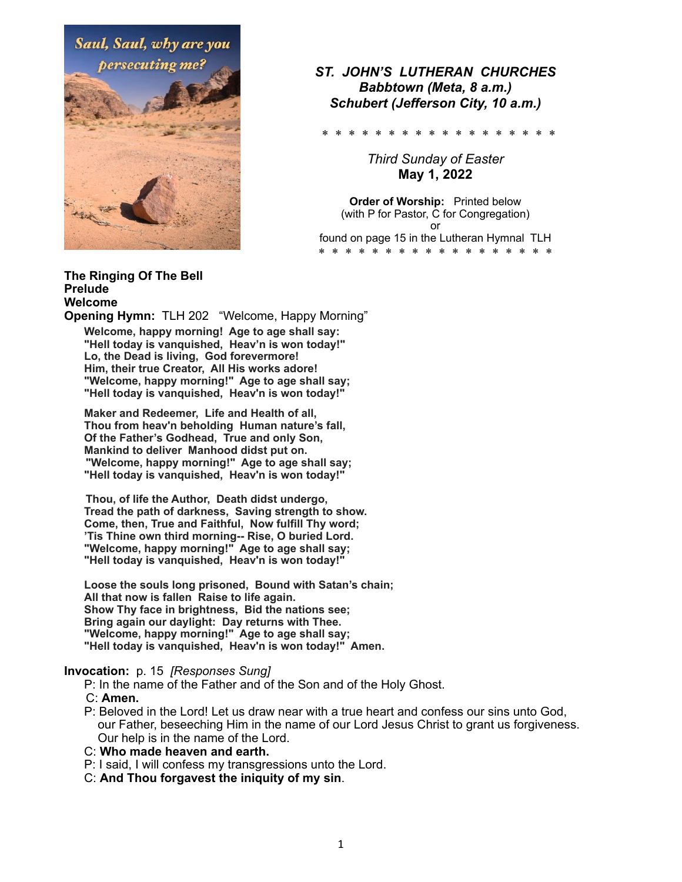

# *ST. JOHN'S LUTHERAN CHURCHES Babbtown (Meta, 8 a.m.) Schubert (Jefferson City, 10 a.m.)*

\* \* \* \* \* \* \* \* \* \* \* \* \* \* \* \* \* \*

*Third Sunday of Easter*  **May 1, 2022** 

**Order of Worship:** Printed below (with P for Pastor, C for Congregation) or found on page 15 in the Lutheran Hymnal TLH \* \* \* \* \* \* \* \* \* \* \* \* \* \* \*

### **The Ringing Of The Bell Prelude Welcome**

**Opening Hymn:** TLH 202 "Welcome, Happy Morning"

**Welcome, happy morning! Age to age shall say: "Hell today is vanquished, Heav'n is won today!" Lo, the Dead is living, God forevermore! Him, their true Creator, All His works adore! "Welcome, happy morning!" Age to age shall say; "Hell today is vanquished, Heav'n is won today!"** 

 **Maker and Redeemer, Life and Health of all, Thou from heav'n beholding Human nature's fall, Of the Father's Godhead, True and only Son, Mankind to deliver Manhood didst put on. "Welcome, happy morning!" Age to age shall say; "Hell today is vanquished, Heav'n is won today!"** 

 **Thou, of life the Author, Death didst undergo, Tread the path of darkness, Saving strength to show. Come, then, True and Faithful, Now fulfill Thy word; 'Tis Thine own third morning-- Rise, O buried Lord. "Welcome, happy morning!" Age to age shall say; "Hell today is vanquished, Heav'n is won today!"** 

 **Loose the souls long prisoned, Bound with Satan's chain; All that now is fallen Raise to life again. Show Thy face in brightness, Bid the nations see; Bring again our daylight: Day returns with Thee. "Welcome, happy morning!" Age to age shall say; "Hell today is vanquished, Heav'n is won today!" Amen.** 

## **Invocation:** p. 15 *[Responses Sung]*

P: In the name of the Father and of the Son and of the Holy Ghost.

- C: **Amen.**
- P: Beloved in the Lord! Let us draw near with a true heart and confess our sins unto God, our Father, beseeching Him in the name of our Lord Jesus Christ to grant us forgiveness. Our help is in the name of the Lord.

## C: **Who made heaven and earth.**

- P: I said, I will confess my transgressions unto the Lord.
- C: **And Thou forgavest the iniquity of my sin**.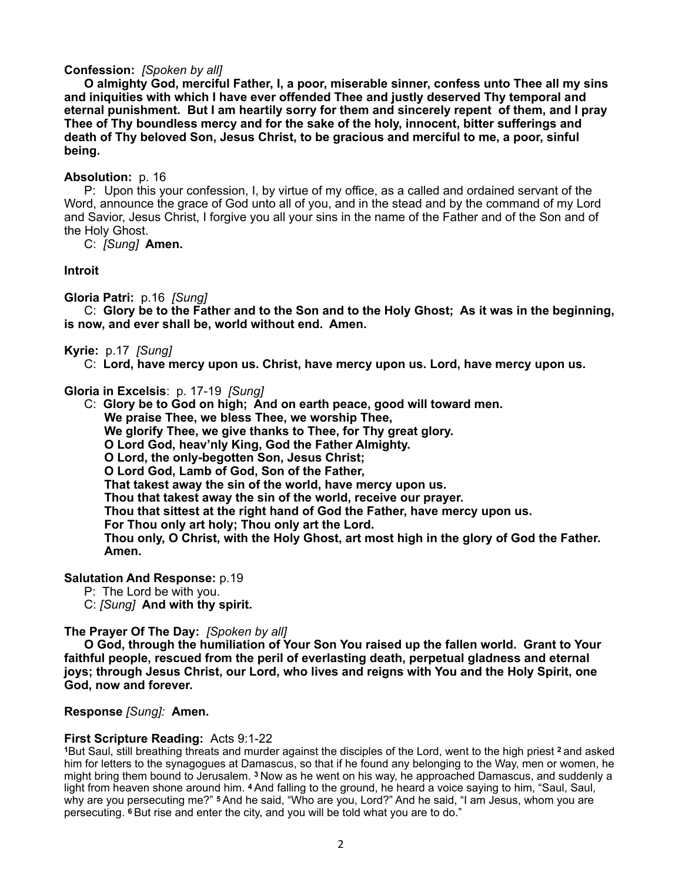## **Confession:** *[Spoken by all]*

 **O almighty God, merciful Father, I, a poor, miserable sinner, confess unto Thee all my sins and iniquities with which I have ever offended Thee and justly deserved Thy temporal and eternal punishment. But I am heartily sorry for them and sincerely repent of them, and I pray Thee of Thy boundless mercy and for the sake of the holy, innocent, bitter sufferings and death of Thy beloved Son, Jesus Christ, to be gracious and merciful to me, a poor, sinful being.** 

## **Absolution:** p. 16

 P:Upon this your confession, I, by virtue of my office, as a called and ordained servant of the Word, announce the grace of God unto all of you, and in the stead and by the command of my Lord and Savior, Jesus Christ, I forgive you all your sins in the name of the Father and of the Son and of the Holy Ghost.

C: *[Sung]* **Amen.**

## **Introit**

**Gloria Patri:** p.16 *[Sung]* 

 C: **Glory be to the Father and to the Son and to the Holy Ghost; As it was in the beginning, is now, and ever shall be, world without end. Amen.**

## **Kyrie:** p.17*[Sung]*

C: **Lord, have mercy upon us. Christ, have mercy upon us. Lord, have mercy upon us.** 

**Gloria in Excelsis**:p. 17-19 *[Sung]* 

C: **Glory be to God on high; And on earth peace, good will toward men.** 

 **We praise Thee, we bless Thee, we worship Thee,** 

 **We glorify Thee, we give thanks to Thee, for Thy great glory.** 

 **O Lord God, heav'nly King, God the Father Almighty.** 

 **O Lord, the only-begotten Son, Jesus Christ;** 

 **O Lord God, Lamb of God, Son of the Father,** 

 **That takest away the sin of the world, have mercy upon us.** 

 **Thou that takest away the sin of the world, receive our prayer.** 

 **Thou that sittest at the right hand of God the Father, have mercy upon us.** 

 **For Thou only art holy; Thou only art the Lord.** 

 **Thou only, O Christ, with the Holy Ghost, art most high in the glory of God the Father. Amen.** 

## **Salutation And Response:** p.19

P: The Lord be with you.

C: *[Sung]* **And with thy spirit.** 

## **The Prayer Of The Day:** *[Spoken by all]*

 **O God, through the humiliation of Your Son You raised up the fallen world. Grant to Your faithful people, rescued from the peril of everlasting death, perpetual gladness and eternal joys; through Jesus Christ, our Lord, who lives and reigns with You and the Holy Spirit, one God, now and forever.** 

**Response** *[Sung]:* **Amen.** 

## **First Scripture Reading:** Acts 9:1-22

**<sup>1</sup>**But Saul, still breathing threats and murder against the disciples of the Lord, went to the high priest **2** and asked him for letters to the synagogues at Damascus, so that if he found any belonging to the Way, men or women, he might bring them bound to Jerusalem. **3** Now as he went on his way, he approached Damascus, and suddenly a light from heaven shone around him. **4** And falling to the ground, he heard a voice saying to him, "Saul, Saul, why are you persecuting me?" **5** And he said, "Who are you, Lord?" And he said, "I am Jesus, whom you are persecuting. **6** But rise and enter the city, and you will be told what you are to do."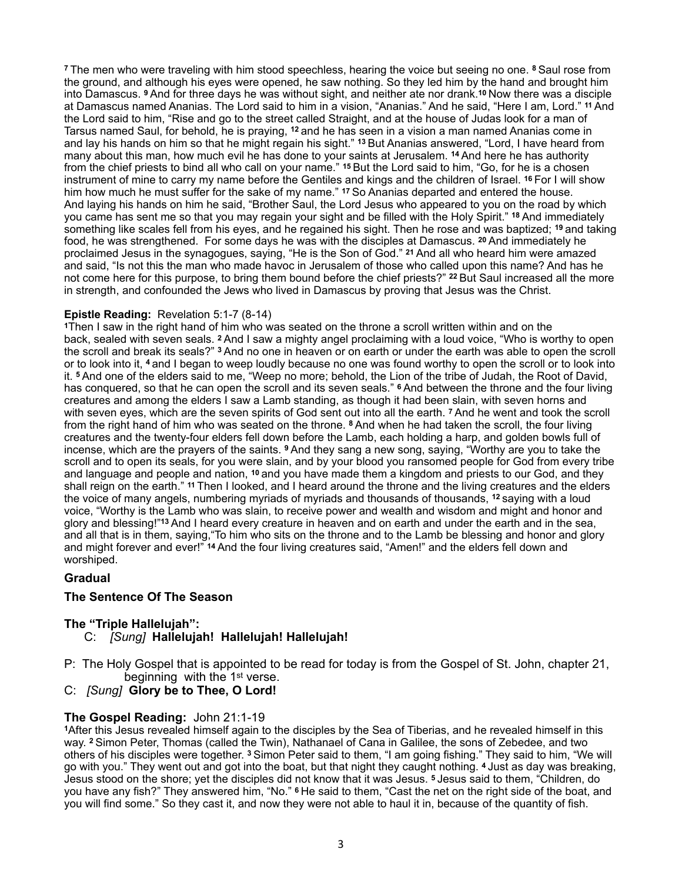**<sup>7</sup>**The men who were traveling with him stood speechless, hearing the voice but seeing no one. **8** Saul rose from the ground, and although his eyes were opened, he saw nothing. So they led him by the hand and brought him into Damascus. **9** And for three days he was without sight, and neither ate nor drank.**10** Now there was a disciple at Damascus named Ananias. The Lord said to him in a vision, "Ananias." And he said, "Here I am, Lord." **11** And the Lord said to him, "Rise and go to the street called Straight, and at the house of Judas look for a man of Tarsus named Saul, for behold, he is praying, **12** and he has seen in a vision a man named Ananias come in and lay his hands on him so that he might regain his sight." **13** But Ananias answered, "Lord, I have heard from many about this man, how much evil he has done to your saints at Jerusalem. **14** And here he has authority from the chief priests to bind all who call on your name." **15** But the Lord said to him, "Go, for he is a chosen instrument of mine to carry my name before the Gentiles and kings and the children of Israel. **16** For I will show him how much he must suffer for the sake of my name." **17** So Ananias departed and entered the house. And laying his hands on him he said, "Brother Saul, the Lord Jesus who appeared to you on the road by which you came has sent me so that you may regain your sight and be filled with the Holy Spirit." **18** And immediately something like scales fell from his eyes, and he regained his sight. Then he rose and was baptized; **19** and taking food, he was strengthened. For some days he was with the disciples at Damascus. **20** And immediately he proclaimed Jesus in the synagogues, saying, "He is the Son of God." **21** And all who heard him were amazed and said, "Is not this the man who made havoc in Jerusalem of those who called upon this name? And has he not come here for this purpose, to bring them bound before the chief priests?" **22** But Saul increased all the more in strength, and confounded the Jews who lived in Damascus by proving that Jesus was the Christ.

## **Epistle Reading:** Revelation 5:1-7 (8-14)

**<sup>1</sup>**Then I saw in the right hand of him who was seated on the throne a scroll written within and on the back, sealed with seven seals. **2** And I saw a mighty angel proclaiming with a loud voice, "Who is worthy to open the scroll and break its seals?" **3** And no one in heaven or on earth or under the earth was able to open the scroll or to look into it, **4** and I began to weep loudly because no one was found worthy to open the scroll or to look into it. **5** And one of the elders said to me, "Weep no more; behold, the Lion of the tribe of Judah, the Root of David, has conquered, so that he can open the scroll and its seven seals." **6** And between the throne and the four living creatures and among the elders I saw a Lamb standing, as though it had been slain, with seven horns and with seven eyes, which are the seven spirits of God sent out into all the earth. **7** And he went and took the scroll from the right hand of him who was seated on the throne. **8** And when he had taken the scroll, the four living creatures and the twenty-four elders fell down before the Lamb, each holding a harp, and golden bowls full of incense, which are the prayers of the saints. **9** And they sang a new song, saying, "Worthy are you to take the scroll and to open its seals, for you were slain, and by your blood you ransomed people for God from every tribe and language and people and nation, **10** and you have made them a kingdom and priests to our God, and they shall reign on the earth." **11** Then I looked, and I heard around the throne and the living creatures and the elders the voice of many angels, numbering myriads of myriads and thousands of thousands, **12** saying with a loud voice, "Worthy is the Lamb who was slain, to receive power and wealth and wisdom and might and honor and glory and blessing!"**13** And I heard every creature in heaven and on earth and under the earth and in the sea, and all that is in them, saying,"To him who sits on the throne and to the Lamb be blessing and honor and glory and might forever and ever!" **14** And the four living creatures said, "Amen!" and the elders fell down and worshiped.

# **Gradual**

# **The Sentence Of The Season**

# **The "Triple Hallelujah":**

- C: *[Sung]* **Hallelujah! Hallelujah! Hallelujah!**
- P: The Holy Gospel that is appointed to be read for today is from the Gospel of St. John, chapter 21, beginning with the 1st verse.

## C:*[Sung]* **Glory be to Thee, O Lord!**

## **The Gospel Reading:** John 21:1-19

**<sup>1</sup>**After this Jesus revealed himself again to the disciples by the Sea of Tiberias, and he revealed himself in this way. **2** Simon Peter, Thomas (called the Twin), Nathanael of Cana in Galilee, the sons of Zebedee, and two others of his disciples were together. **3** Simon Peter said to them, "I am going fishing." They said to him, "We will go with you." They went out and got into the boat, but that night they caught nothing. **4** Just as day was breaking, Jesus stood on the shore; yet the disciples did not know that it was Jesus. **5** Jesus said to them, "Children, do you have any fish?" They answered him, "No." **6** He said to them, "Cast the net on the right side of the boat, and you will find some." So they cast it, and now they were not able to haul it in, because of the quantity of fish.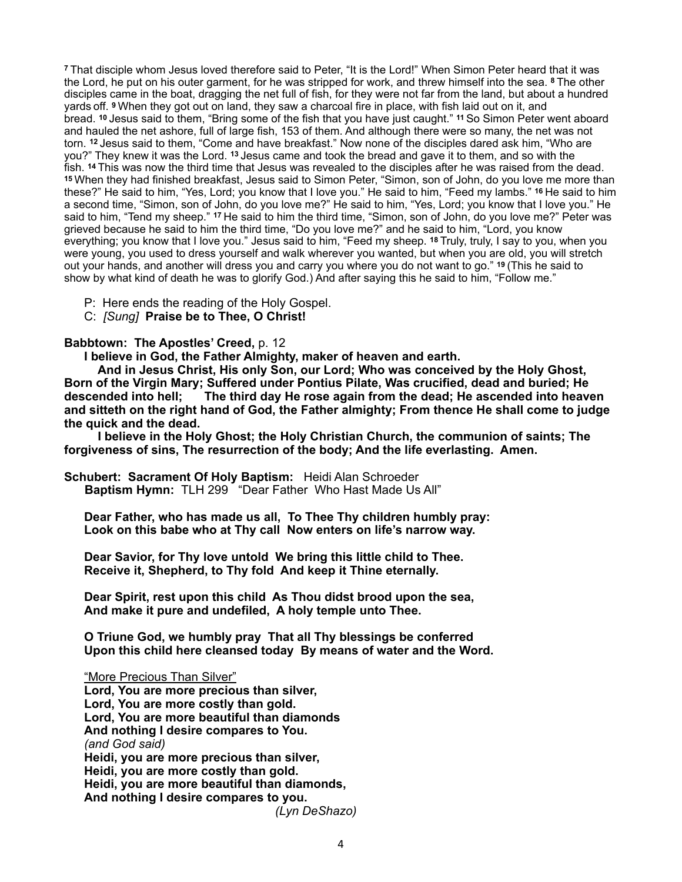**<sup>7</sup>**That disciple whom Jesus loved therefore said to Peter, "It is the Lord!" When Simon Peter heard that it was the Lord, he put on his outer garment, for he was stripped for work, and threw himself into the sea. **8** The other disciples came in the boat, dragging the net full of fish, for they were not far from the land, but about a hundred yards off. **9** When they got out on land, they saw a charcoal fire in place, with fish laid out on it, and bread. **10** Jesus said to them, "Bring some of the fish that you have just caught." **11** So Simon Peter went aboard and hauled the net ashore, full of large fish, 153 of them. And although there were so many, the net was not torn. **12** Jesus said to them, "Come and have breakfast." Now none of the disciples dared ask him, "Who are you?" They knew it was the Lord. **13** Jesus came and took the bread and gave it to them, and so with the fish. **14** This was now the third time that Jesus was revealed to the disciples after he was raised from the dead. **<sup>15</sup>**When they had finished breakfast, Jesus said to Simon Peter, "Simon, son of John, do you love me more than these?" He said to him, "Yes, Lord; you know that I love you." He said to him, "Feed my lambs." **16** He said to him a second time, "Simon, son of John, do you love me?" He said to him, "Yes, Lord; you know that I love you." He said to him, "Tend my sheep." **17** He said to him the third time, "Simon, son of John, do you love me?" Peter was grieved because he said to him the third time, "Do you love me?" and he said to him, "Lord, you know everything; you know that I love you." Jesus said to him, "Feed my sheep. **18** Truly, truly, I say to you, when you were young, you used to dress yourself and walk wherever you wanted, but when you are old, you will stretch out your hands, and another will dress you and carry you where you do not want to go." **19** (This he said to show by what kind of death he was to glorify God.) And after saying this he said to him, "Follow me."

P: Here ends the reading of the Holy Gospel.

C:*[Sung]* **Praise be to Thee, O Christ!** 

**Babbtown: The Apostles' Creed,** p. 12

 **I believe in God, the Father Almighty, maker of heaven and earth.** 

 **And in Jesus Christ, His only Son, our Lord; Who was conceived by the Holy Ghost, Born of the Virgin Mary; Suffered under Pontius Pilate, Was crucified, dead and buried; He descended into hell; The third day He rose again from the dead; He ascended into heaven and sitteth on the right hand of God, the Father almighty; From thence He shall come to judge the quick and the dead.** 

 **I believe in the Holy Ghost; the Holy Christian Church, the communion of saints; The forgiveness of sins, The resurrection of the body; And the life everlasting. Amen.** 

**Schubert: Sacrament Of Holy Baptism:** Heidi Alan Schroeder

**Baptism Hymn:** TLH 299 "Dear Father Who Hast Made Us All"

**Dear Father, who has made us all, To Thee Thy children humbly pray: Look on this babe who at Thy call Now enters on life's narrow way.** 

 **Dear Savior, for Thy love untold We bring this little child to Thee. Receive it, Shepherd, to Thy fold And keep it Thine eternally.** 

 **Dear Spirit, rest upon this child As Thou didst brood upon the sea, And make it pure and undefiled, A holy temple unto Thee.** 

 **O Triune God, we humbly pray That all Thy blessings be conferred Upon this child here cleansed today By means of water and the Word.** 

"More Precious Than Silver"  **Lord, You are more precious than silver, Lord, You are more costly than gold. Lord, You are more beautiful than diamonds And nothing I desire compares to You.**  *(and God said)*  **Heidi, you are more precious than silver, Heidi, you are more costly than gold. Heidi, you are more beautiful than diamonds, And nothing I desire compares to you.** 

*(Lyn DeShazo)*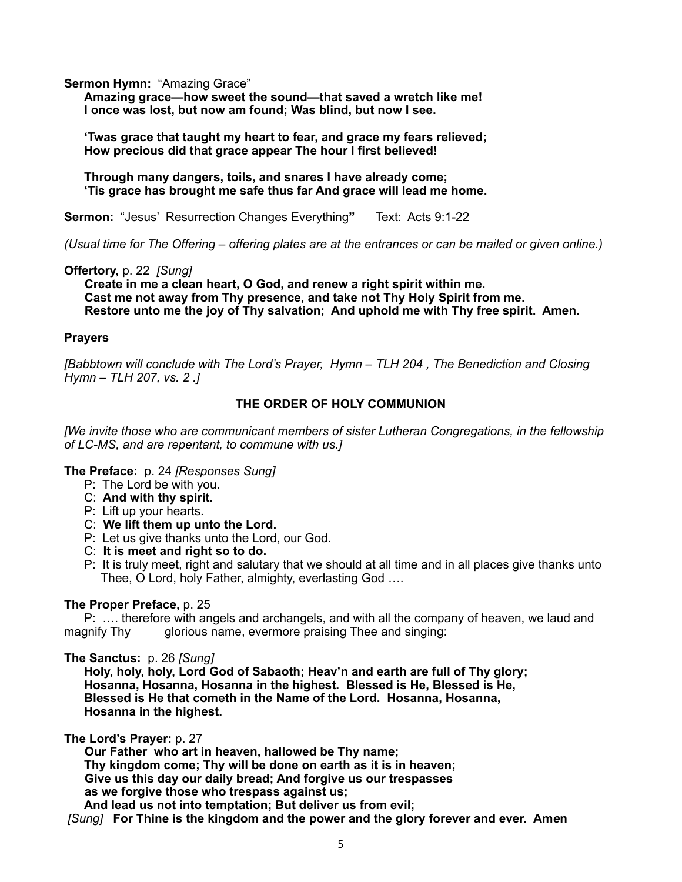**Sermon Hymn: "Amazing Grace"** 

**Amazing grace—how sweet the sound—that saved a wretch like me! I once was lost, but now am found; Was blind, but now I see.** 

 **'Twas grace that taught my heart to fear, and grace my fears relieved; How precious did that grace appear The hour I first believed!** 

 **Through many dangers, toils, and snares I have already come; 'Tis grace has brought me safe thus far And grace will lead me home.** 

**Sermon:** "Jesus' Resurrection Changes Everything**"** Text: Acts 9:1-22

*(Usual time for The Offering – offering plates are at the entrances or can be mailed or given online.)* 

**Offertory,** p. 22 *[Sung]*

 **Create in me a clean heart, O God, and renew a right spirit within me. Cast me not away from Thy presence, and take not Thy Holy Spirit from me. Restore unto me the joy of Thy salvation; And uphold me with Thy free spirit. Amen.**

## **Prayers**

*[Babbtown will conclude with The Lord's Prayer, Hymn – TLH 204 , The Benediction and Closing Hymn – TLH 207, vs. 2 .]* 

# **THE ORDER OF HOLY COMMUNION**

*[We invite those who are communicant members of sister Lutheran Congregations, in the fellowship of LC-MS, and are repentant, to commune with us.]* 

**The Preface:** p. 24 *[Responses Sung]*

- P: The Lord be with you.
- C: **And with thy spirit.**
- P: Lift up your hearts.
- C: **We lift them up unto the Lord.**
- P: Let us give thanks unto the Lord, our God.
- C: **It is meet and right so to do.**
- P:It is truly meet, right and salutary that we should at all time and in all places give thanks unto Thee, O Lord, holy Father, almighty, everlasting God ….

## **The Proper Preface,** p. 25

 P: …. therefore with angels and archangels, and with all the company of heaven, we laud and magnify Thy glorious name, evermore praising Thee and singing:

### **The Sanctus:** p. 26 *[Sung]*

 **Holy, holy, holy, Lord God of Sabaoth; Heav'n and earth are full of Thy glory; Hosanna, Hosanna, Hosanna in the highest. Blessed is He, Blessed is He, Blessed is He that cometh in the Name of the Lord. Hosanna, Hosanna, Hosanna in the highest.** 

**The Lord's Prayer:** p. 27

 **Our Father who art in heaven, hallowed be Thy name; Thy kingdom come; Thy will be done on earth as it is in heaven; Give us this day our daily bread; And forgive us our trespasses as we forgive those who trespass against us; And lead us not into temptation; But deliver us from evil;** 

 *[Sung]* **For Thine is the kingdom and the power and the glory forever and ever. Am***e***n**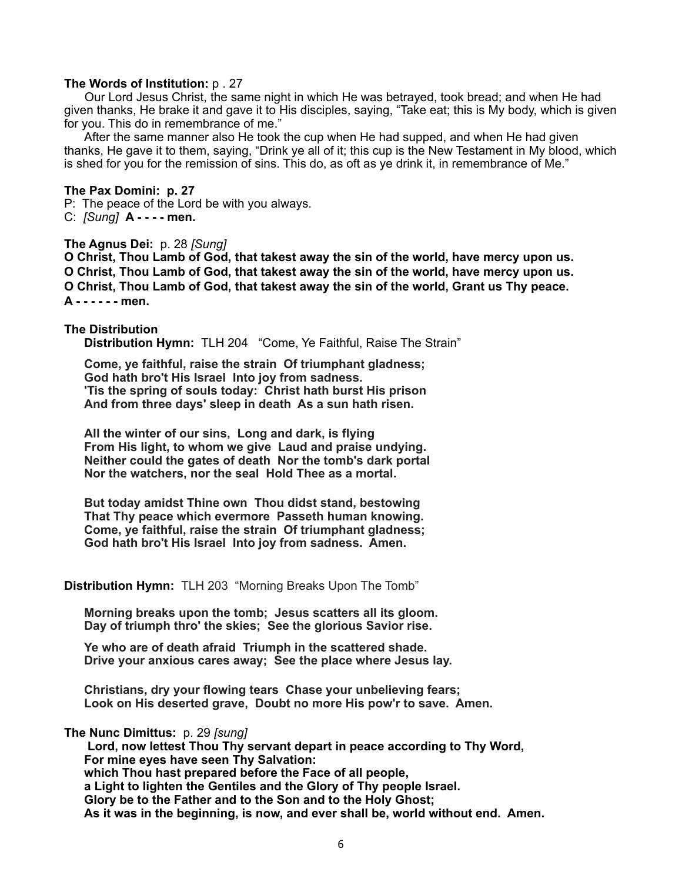#### **The Words of Institution:** p . 27

Our Lord Jesus Christ, the same night in which He was betrayed, took bread; and when He had given thanks, He brake it and gave it to His disciples, saying, "Take eat; this is My body, which is given for you. This do in remembrance of me."

 After the same manner also He took the cup when He had supped, and when He had given thanks, He gave it to them, saying, "Drink ye all of it; this cup is the New Testament in My blood, which is shed for you for the remission of sins. This do, as oft as ye drink it, in remembrance of Me."

**The Pax Domini: p. 27**  P: The peace of the Lord be with you always. C: *[Sung]* **A - - - - men.** 

#### **The Agnus Dei:** p. 28 *[Sung]*

**O Christ, Thou Lamb of God, that takest away the sin of the world, have mercy upon us. O Christ, Thou Lamb of God, that takest away the sin of the world, have mercy upon us. O Christ, Thou Lamb of God, that takest away the sin of the world, Grant us Thy peace. A - - - - - - men.** 

#### **The Distribution**

 **Distribution Hymn:** TLH 204 "Come, Ye Faithful, Raise The Strain"

 **Come, ye faithful, raise the strain Of triumphant gladness; God hath bro't His Israel Into joy from sadness. 'Tis the spring of souls today: Christ hath burst His prison And from three days' sleep in death As a sun hath risen.** 

 **All the winter of our sins, Long and dark, is flying From His light, to whom we give Laud and praise undying. Neither could the gates of death Nor the tomb's dark portal Nor the watchers, nor the seal Hold Thee as a mortal.** 

 **But today amidst Thine own Thou didst stand, bestowing That Thy peace which evermore Passeth human knowing. Come, ye faithful, raise the strain Of triumphant gladness; God hath bro't His Israel Into joy from sadness. Amen.** 

**Distribution Hymn:** TLH 203 "Morning Breaks Upon The Tomb"

 **Morning breaks upon the tomb; Jesus scatters all its gloom. Day of triumph thro' the skies; See the glorious Savior rise.** 

 **Ye who are of death afraid Triumph in the scattered shade. Drive your anxious cares away; See the place where Jesus lay.** 

 **Christians, dry your flowing tears Chase your unbelieving fears; Look on His deserted grave, Doubt no more His pow'r to save. Amen.** 

**The Nunc Dimittus:** p. 29 *[sung]*

**Lord, now lettest Thou Thy servant depart in peace according to Thy Word, For mine eyes have seen Thy Salvation: which Thou hast prepared before the Face of all people, a Light to lighten the Gentiles and the Glory of Thy people Israel. Glory be to the Father and to the Son and to the Holy Ghost; As it was in the beginning, is now, and ever shall be, world without end. Amen.**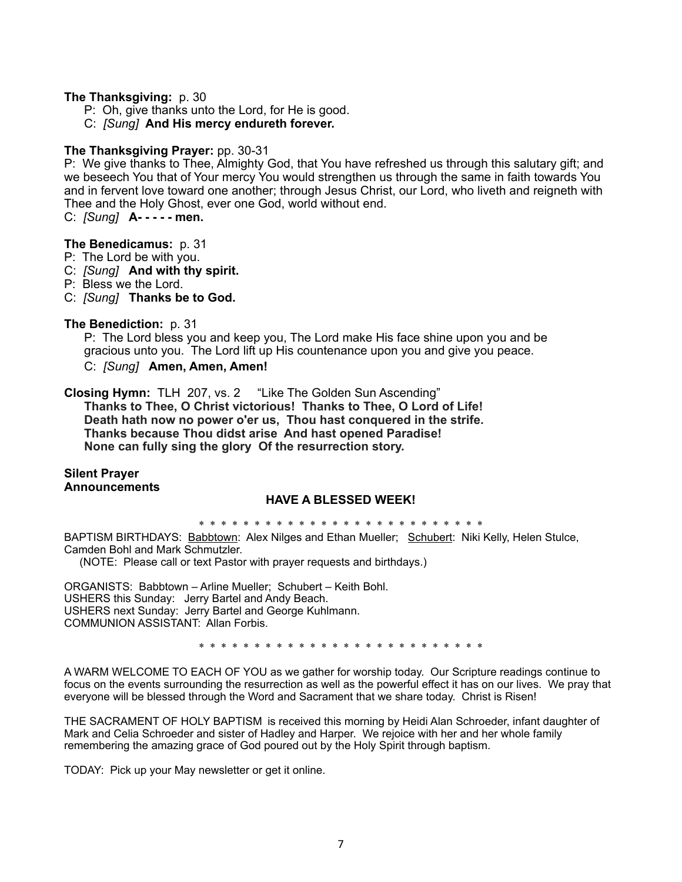## **The Thanksgiving:** p. 30

- P: Oh, give thanks unto the Lord, for He is good.
- C: *[Sung]* **And His mercy endureth forever.**

## **The Thanksgiving Prayer:** pp. 30-31

P: We give thanks to Thee, Almighty God, that You have refreshed us through this salutary gift; and we beseech You that of Your mercy You would strengthen us through the same in faith towards You and in fervent love toward one another; through Jesus Christ, our Lord, who liveth and reigneth with Thee and the Holy Ghost, ever one God, world without end.

C: *[Sung]* **A- - - - - men.** 

## **The Benedicamus:** p. 31

- P: The Lord be with you.
- C: *[Sung]* **And with thy spirit.**
- P: Bless we the Lord.
- C: *[Sung]* **Thanks be to God.**

## **The Benediction:** p. 31

 P: The Lord bless you and keep you, The Lord make His face shine upon you and be gracious unto you. The Lord lift up His countenance upon you and give you peace. C:*[Sung]* **Amen, Amen, Amen!**

**Closing Hymn:** TLH 207, vs. 2 "Like The Golden Sun Ascending" **Thanks to Thee, O Christ victorious! Thanks to Thee, O Lord of Life! Death hath now no power o'er us, Thou hast conquered in the strife. Thanks because Thou didst arise And hast opened Paradise! None can fully sing the glory Of the resurrection story.**

## **Silent Prayer Announcements**

## **HAVE A BLESSED WEEK!**

\* \* \* \* \* \* \* \* \* \* \* \* \* \* \* \* \* \* \* \* \* \* \* \* \* \*

BAPTISM BIRTHDAYS: Babbtown: Alex Nilges and Ethan Mueller; Schubert: Niki Kelly, Helen Stulce, Camden Bohl and Mark Schmutzler.

(NOTE: Please call or text Pastor with prayer requests and birthdays.)

ORGANISTS: Babbtown – Arline Mueller; Schubert – Keith Bohl. USHERS this Sunday: Jerry Bartel and Andy Beach. USHERS next Sunday: Jerry Bartel and George Kuhlmann. COMMUNION ASSISTANT: Allan Forbis.

\* \* \* \* \* \* \* \* \* \* \* \* \* \* \* \* \* \* \* \* \* \* \* \* \* \*

A WARM WELCOME TO EACH OF YOU as we gather for worship today. Our Scripture readings continue to focus on the events surrounding the resurrection as well as the powerful effect it has on our lives. We pray that everyone will be blessed through the Word and Sacrament that we share today. Christ is Risen!

THE SACRAMENT OF HOLY BAPTISM is received this morning by Heidi Alan Schroeder, infant daughter of Mark and Celia Schroeder and sister of Hadley and Harper. We rejoice with her and her whole family remembering the amazing grace of God poured out by the Holy Spirit through baptism.

TODAY: Pick up your May newsletter or get it online.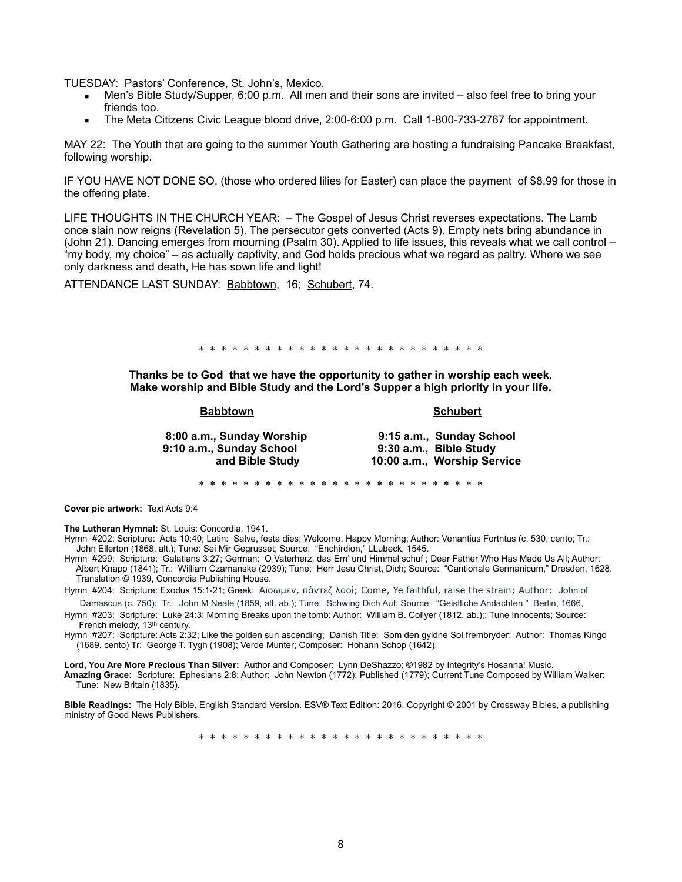TUESDAY: Pastors' Conference, St. John's, Mexico.

- Men's Bible Study/Supper, 6:00 p.m. All men and their sons are invited also feel free to bring your friends too.
- The Meta Citizens Civic League blood drive, 2:00-6:00 p.m. Call 1-800-733-2767 for appointment.

MAY 22: The Youth that are going to the summer Youth Gathering are hosting a fundraising Pancake Breakfast, following worship.

IF YOU HAVE NOT DONE SO, (those who ordered lilies for Easter) can place the payment of \$8.99 for those in the offering plate.

LIFE THOUGHTS IN THE CHURCH YEAR: **–** The Gospel of Jesus Christ reverses expectations. The Lamb once slain now reigns (Revelation 5). The persecutor gets converted (Acts 9). Empty nets bring abundance in (John 21). Dancing emerges from mourning (Psalm 30). Applied to life issues, this reveals what we call control – "my body, my choice" – as actually captivity, and God holds precious what we regard as paltry. Where we see only darkness and death, He has sown life and light!

ATTENDANCE LAST SUNDAY: Babbtown, 16; Schubert, 74.

\* \* \* \* \* \* \* \* \* \* \* \* \* \* \* \* \* \* \* \* \* \* \* \* \* \*

**Thanks be to God that we have the opportunity to gather in worship each week. Make worship and Bible Study and the Lord's Supper a high priority in your life.** 

#### Babbtown Schubert

| 8:00 a.m., Sunday Worship<br>9:10 a.m., Sunday School<br>and Bible Study |  | 9:15 a.m., Sunday School<br>9:30 a.m., Bible Study<br>10:00 a.m., Worship Service |
|--------------------------------------------------------------------------|--|-----------------------------------------------------------------------------------|
|--------------------------------------------------------------------------|--|-----------------------------------------------------------------------------------|

\* \* \* \* \* \* \* \* \* \* \* \* \* \* \* \* \* \* \* \* \* \* \* \* \* \*

**Cover pic artwork:** Text Acts 9:4

**The Lutheran Hymnal:** St. Louis: Concordia, 1941.

Hymn #202: Scripture: Acts 10:40; Latin: Salve, festa dies; Welcome, Happy Morning; Author: Venantius Fortntus (c. 530, cento; Tr.: John Ellerton (1868, alt.); Tune: Sei Mir Gegrusset; Source: "Enchirdion," LLubeck, 1545.

Hymn #299: Scripture: Galatians 3:27; German: O Vaterherz, das Ern' und Himmel schuf ; Dear Father Who Has Made Us All; Author: Albert Knapp (1841); Tr.: William Czamanske (2939); Tune: Herr Jesu Christ, Dich; Source: "Cantionale Germanicum," Dresden, 1628. Translation © 1939, Concordia Publishing House.

Hymn #204: Scripture: Exodus 15:1-21; Greek: Αϊσωµεν, πάντεζ λαοί; Come, Ye faithful, raise the strain; Author: John of Damascus (c. 750); Tr.: John M Neale (1859, alt. ab.); Tune: Schwing Dich Auf; Source: "Geistliche Andachten," Berlin, 1666,

Hymn #203: Scripture: Luke 24:3; Morning Breaks upon the tomb; Author: William B. Collyer (1812, ab.);; Tune Innocents; Source: French melody, 13<sup>th</sup> century.

Hymn #207: Scripture: Acts 2:32; Like the golden sun ascending; Danish Title: Som den gyldne Sol frembryder; Author: Thomas Kingo (1689, cento) Tr: George T. Tygh (1908); Verde Munter; Composer: Hohann Schop (1642).

**Lord, You Are More Precious Than Silver:** Author and Composer: Lynn DeShazzo; ©1982 by Integrity's Hosanna! Music.

**Amazing Grace:** Scripture:Ephesians 2:8; Author: John Newton (1772); Published (1779); Current Tune Composed by William Walker; Tune: New Britain (1835).

**Bible Readings:** The Holy Bible, English Standard Version. ESV® Text Edition: 2016. Copyright © 2001 by [Crossway Bibles, a publishing](https://www.crossway.org/)  [ministry of Good News Publishers.](https://www.crossway.org/)

\* \* \* \* \* \* \* \* \* \* \* \* \* \* \* \* \* \* \* \* \* \* \* \* \* \*